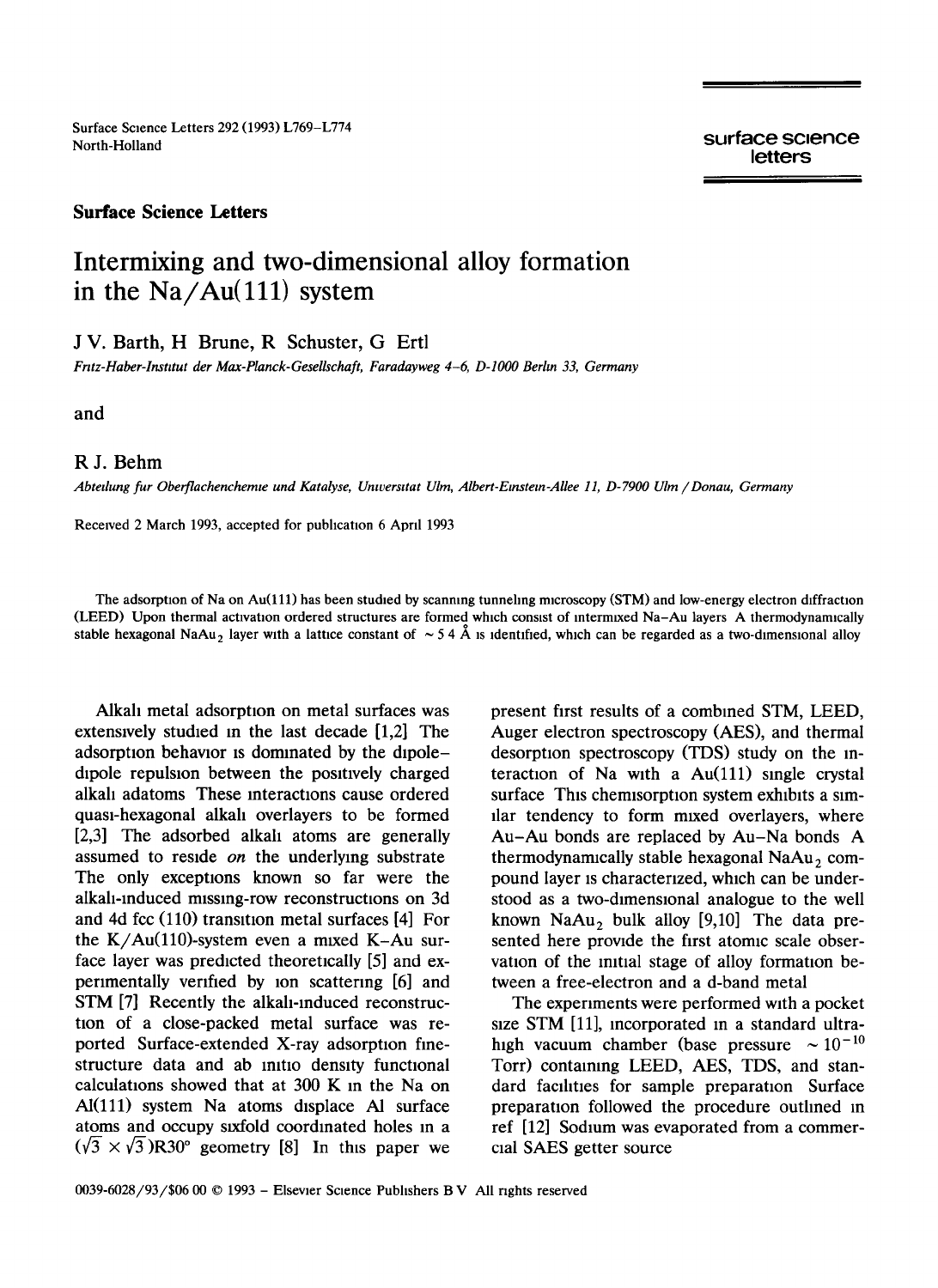Surface Science Letters 292 (1993) L769-L774<br>North-Holland

surface science letters

## **Surface Science Letters**

## **Intermixing and two-dimensional alloy formation**  in the Na/Au(111) system

J V. Barth, H Brune, R Schuster, G Ertl

*Fr:tz-Haber-lnsutut der Max-Planck-Gesellschaft, Faradayweg 4-6, D-IO00 Berhn 33, Germany* 

and

## R J. Behm

*Abtedung fur Oberflachenchemte und Katalyse, Unwersttat Ulm, Albert-Emstem-AUee 11, D-7900 Ulm / Donau, Germany* 

Received 2 March 1993, accepted for publication 6 April 1993

The adsorption of Na on Au(111) has been studied by scanning tunneling microscopy (STM) and low-energy electron diffraction (LEED) Upon thermal activation ordered structures are formed which consist of intermixed Na-Au layers A thermodynamically stable hexagonal NaAu<sub>2</sub> layer with a lattice constant of  $\sim 54 \text{ Å}$  is identified, which can be regarded as a two-dimensional alloy

Alkah metal adsorption on metal surfaces was extensively studied in the last decade  $[1,2]$  The adsorption behavior is dominated by the dipole dipole repulsion between the positively charged alkali adatoms These interactions cause ordered quasi-hexagonal alkali overlayers to be formed [2,3] The adsorbed alkah atoms are generally assumed to reside *on* the underlying substrate The only exceptions known so far were the alkali-induced missing-row reconstructions on 3d and 4d fcc (110) transition metal surfaces [4] For the  $K/Au(110)$ -system even a mixed  $K-Au$  surface layer was predicted theoretically [5] and experimentally verified by ion scattermg [6] and STM [7] Recently the alkali-induced reconstruction of a close-packed metal surface was reported Surface-extended X-ray adsorption finestructure data and ab initio density functional calculations showed that at 300 K in the Na on  $Al(111)$  system Na atoms displace Al surface atoms and occupy sixfold coordinated holes in a  $(\sqrt{3} \times \sqrt{3})R30^{\circ}$  geometry [8] In this paper we present first results of a combmed STM, LEED, Auger electron spectroscopy (AES), and thermal desorption spectroscopy (TDS) study on the interaction of Na with a  $Au(111)$  single crystal surface This chemisorption system exhibits a similar tendency to form mixed overlayers, where Au-Au bonds are replaced by Au-Na bonds A thermodynamically stable hexagonal  $N$ a $Au<sub>2</sub>$  compound layer is characterized, which can be understood as a two-dimensional analogue to the well known NaAu, bulk alloy  $[9,10]$  The data presented here provide the first atomic scale observation of the initial stage of alloy formation between a free-electron and a d-band metal

The experiments were performed with a pocket size STM [11], incorporated in a standard ultrahigh vacuum chamber (base pressure  $\sim 10^{-10}$ Torr) containing LEED, AES, TDS, and standard facilities for sample preparation Surface preparation followed the procedure outlined in ref [12] Sodium was evaporated from a commercial SAES getter source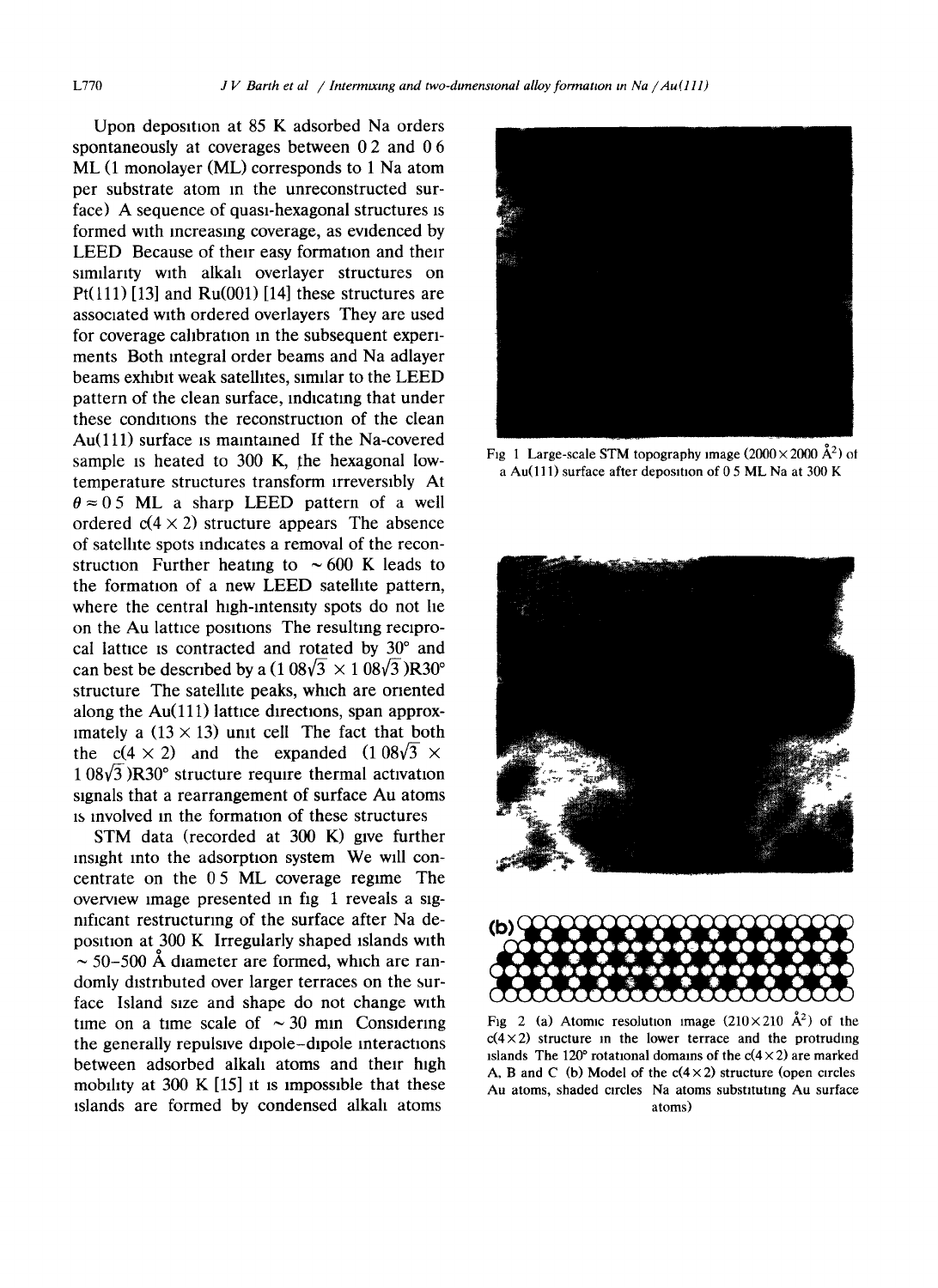Upon deposition at  $85$  K adsorbed Na orders spontaneously at coverages between 0.2 and 0.6 ML (1 monolayer (ML) corresponds to 1 Na atom per substrate atom in the unreconstructed surface) A sequence of quasi-hexagonal structures is formed with mcreasmg coverage, as evidenced by LEED Because of their easy formation and their similarity wtth alkah overlayer structures on Pt(111) [13] and Ru(001) [14] these structures are associated with ordered overlayers They are used for coverage calibration in the subsequent experiments Both integral order beams and Na adlayer beams exhibit weak satelhtes, similar to the LEED pattern of the clean surface, indicating that under these conditions the reconstruction of the clean Au(111) surface is maintained If the Na-covered sample is heated to 300 K, the hexagonal lowtemperature structures transform irreversibly At  $\theta \approx 0.5$  ML a sharp LEED pattern of a well ordered  $c(4 \times 2)$  structure appears The absence of satelhte spots indicates a removal of the reconstruction Further heating to  $\sim 600$  K leads to the formation of a new LEED satelhte pattern, where the central high-intensity spots do not he on the Au lattice positions The resulting reciprocal lattice is contracted and rotated by  $30^{\circ}$  and can best be described by a  $(1.08\sqrt{3} \times 1.08\sqrt{3})R30^{\circ}$ structure The satelhte peaks, which are oriented along the  $Au(111)$  lattice directions, span approximately a  $(13 \times 13)$  unit cell The fact that both the c(4 × 2) and the expanded  $(1.08\sqrt{3}$  ×  $1.08\sqrt{3}$  )R30 $\degree$  structure require thermal activation stgnals that a rearrangement of surface Au atoms ~s mvolved in the formatton of these structures

STM data (recorded at 300 K) gwe further mstght into the adsorption system We will concentrate on the 0 5 ML coverage regime The overview image presented in fig 1 reveals a sigmficant restructuring of the surface after Na deposition at 300 K Irregularly shaped islands with  $\sim$  50–500 Å diameter are formed, which are randomly distributed over larger terraces on the surface Island size and shape do not change wtth time on a time scale of  $\sim$  30 min Considering the generally repulsive dipole-dipole interactions between adsorbed alkali atoms and their high mobility at 300 K  $[15]$  it is impossible that these tslands are formed by condensed alkah atoms



Fig 1 Large-scale STM topography image  $(2000 \times 2000 \text{ Å}^2)$  of a Au(111) surface after deposition of  $0.5$  ML Na at 300 K





Fig 2 (a) Atomic resolution image  $(210\times210 \text{ Å}^2)$  of the  $c(4\times2)$  structure in the lower terrace and the protruding islands The 120° rotational domains of the  $c(4\times2)$  are marked A, B and C (b) Model of the  $c(4 \times 2)$  structure (open circles Au atoms, shaded circles Na atoms substituting Au surface atoms)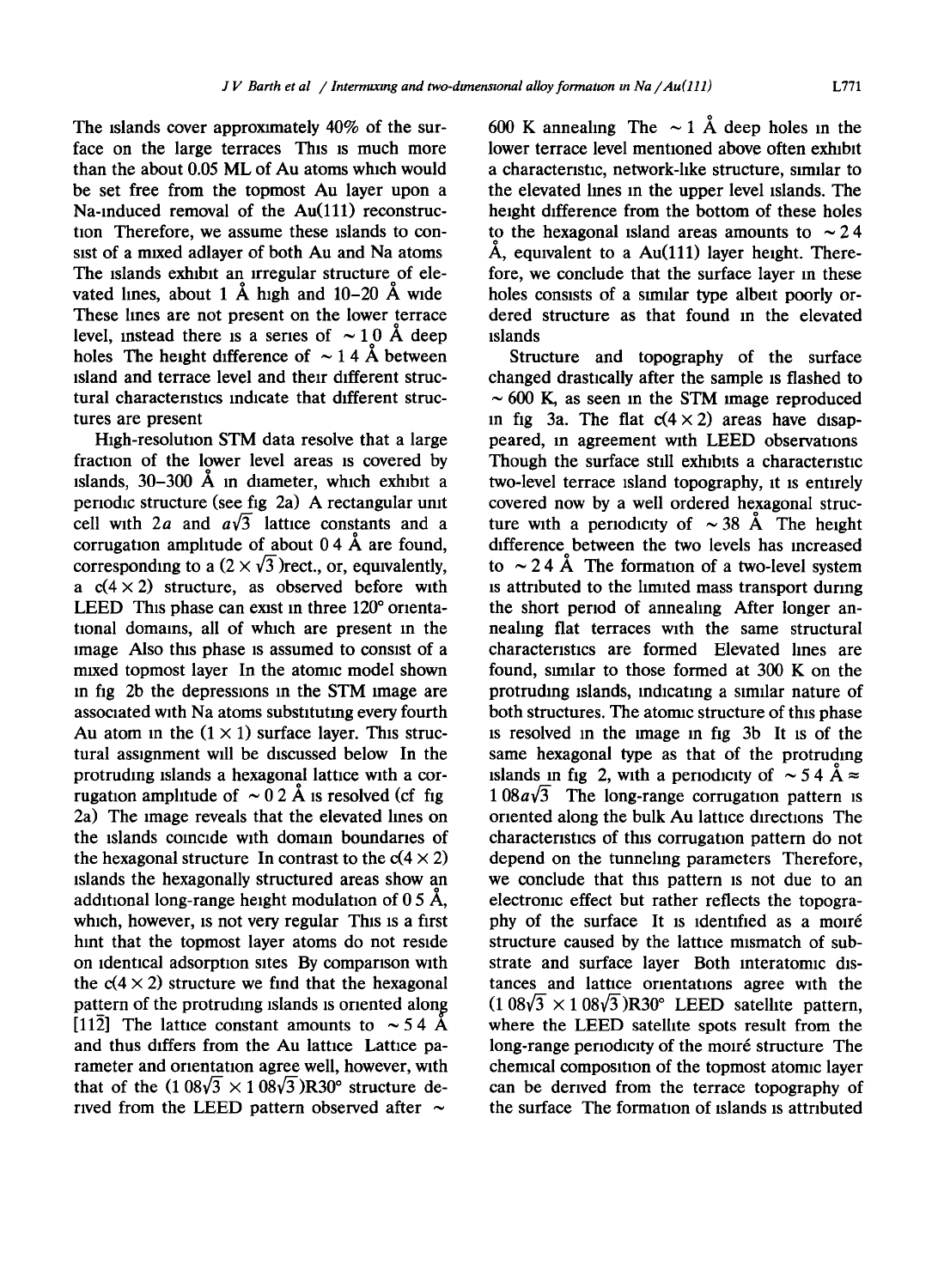The islands cover approximately 40% of the surface on the large terraces This is much more than the about 0.05 ML of Au atoms which would be set free from the topmost Au layer upon a Na-induced removal of the Au(111) reconstruction Therefore, we assume these islands to consist of a mixed adlayer of both Au and Na atoms The islands exhibit an irregular structure of elevated lines, about 1  $\AA$  high and 10-20  $\AA$  wide These lines are not present on the lower terrace level, instead there is a series of  $\sim 10$  Å deep holes The height difference of  $\sim$  1.4 Å between island and terrace level and their different structural characteristics indicate that different structures are present

High-resolution STM data resolve that a large fraction of the lower level areas is covered by islands,  $30-300$  Å in diameter, which exhibit a periodic structure (see fig 2a) A rectangular unit cell with 2a and  $a\sqrt{3}$  lattice constants and a corrugation amplitude of about  $0.4 \text{ Å}$  are found, corresponding to a  $(2 \times \sqrt{3})$  rect., or, equivalently, a  $c(4 \times 2)$  structure, as observed before with LEED This phase can exist in three  $120^{\circ}$  orientational domains, all of which are present in the image Also this phase is assumed to consist of a mixed topmost layer In the atomic model shown In fig 2b the depressions in the STM image are associated with Na atoms substituting every fourth Au atom in the  $(1 \times 1)$  surface layer. This structural assignment will be discussed below In the protruding islands a hexagonal lattice with a corrugation amplitude of  $\sim 0.2$  Å is resolved (cf fig 2a) The image reveals that the elevated lines on the islands coincide with domain boundaries of the hexagonal structure In contrast to the  $c(4 \times 2)$ islands the hexagonally structured areas show an additional long-range height modulation of 0.5  $\AA$ , which, however, is not very regular This is a first hint that the topmost layer atoms do not reside on identical adsorption sites By comparison with the  $c(4 \times 2)$  structure we find that the hexagonal pattern of the protruding islands is oriented along [112] The lattice constant amounts to  $\sim$  5.4 Å and thus differs from the Au lattice Lattice parameter and orientation agree well, however, with that of the  $(1.08\sqrt{3} \times 1.08\sqrt{3})R30^{\circ}$  structure derwed from the LEED pattern observed after  $\sim$ 

600 K annealing The  $\sim 1$  Å deep holes in the lower terrace level mentioned above often exhibit a characteristic, network-hke structure, similar to the elevated lines in the upper level islands. The height difference from the bottom of these holes to the hexagonal island areas amounts to  $\sim 2.4$  $\AA$ , equivalent to a  $Au(111)$  layer height. Therefore, we conclude that the surface layer in these holes consists of a similar type albeit poorly ordered structure as that found in the elevated islands

Structure and topography of the surface changed drastically after the sample IS flashed to  $\sim$  600 K, as seen in the STM image reproduced in fig 3a. The flat  $c(4 \times 2)$  areas have disappeared, in agreement with LEED observations Though the surface still exhibits a characteristic two-level terrace Island topography, it is entirely covered now by a well ordered hexagonal structure with a periodicity of  $\sim$  38 Å The height difference between the two levels has increased to  $\sim$  2.4 Å. The formation of a two-level system is attributed to the limited mass transport dunng the short period of annealing After longer annealing fiat terraces with the same structural characteristics are formed Elevated lines are found, similar to those formed at 300 K on the protruding Islands, indicating a similar nature of both structures. The atomic structure of this phase is resolved in the image in fig 3b It is of the same hexagonal type as that of the protruding islands in fig 2, with a periodicity of  $\sim$  5.4 Å  $\approx$  $1.08a\sqrt{3}$  The long-range corrugation pattern is oriented along the bulk Au lattice directions The characteristics of this corrugation pattern do not depend on the tunneling parameters Therefore, we conclude that this pattern is not due to an electronic effect but rather reflects the topography of the surface It is identified as a moire structure caused by the lattice mismatch of substrate and surface layer Both lnteratomic distances and lattice orientations agree with the  $(1.08\sqrt{3} \times 1.08\sqrt{3})R30^{\circ}$  LEED satellite pattern, where the LEED satellite spots result from the long-range periodicity of the moiré structure The chemical composition of the topmost atomic layer can be derived from the terrace topography of the surface The formation of islands is attributed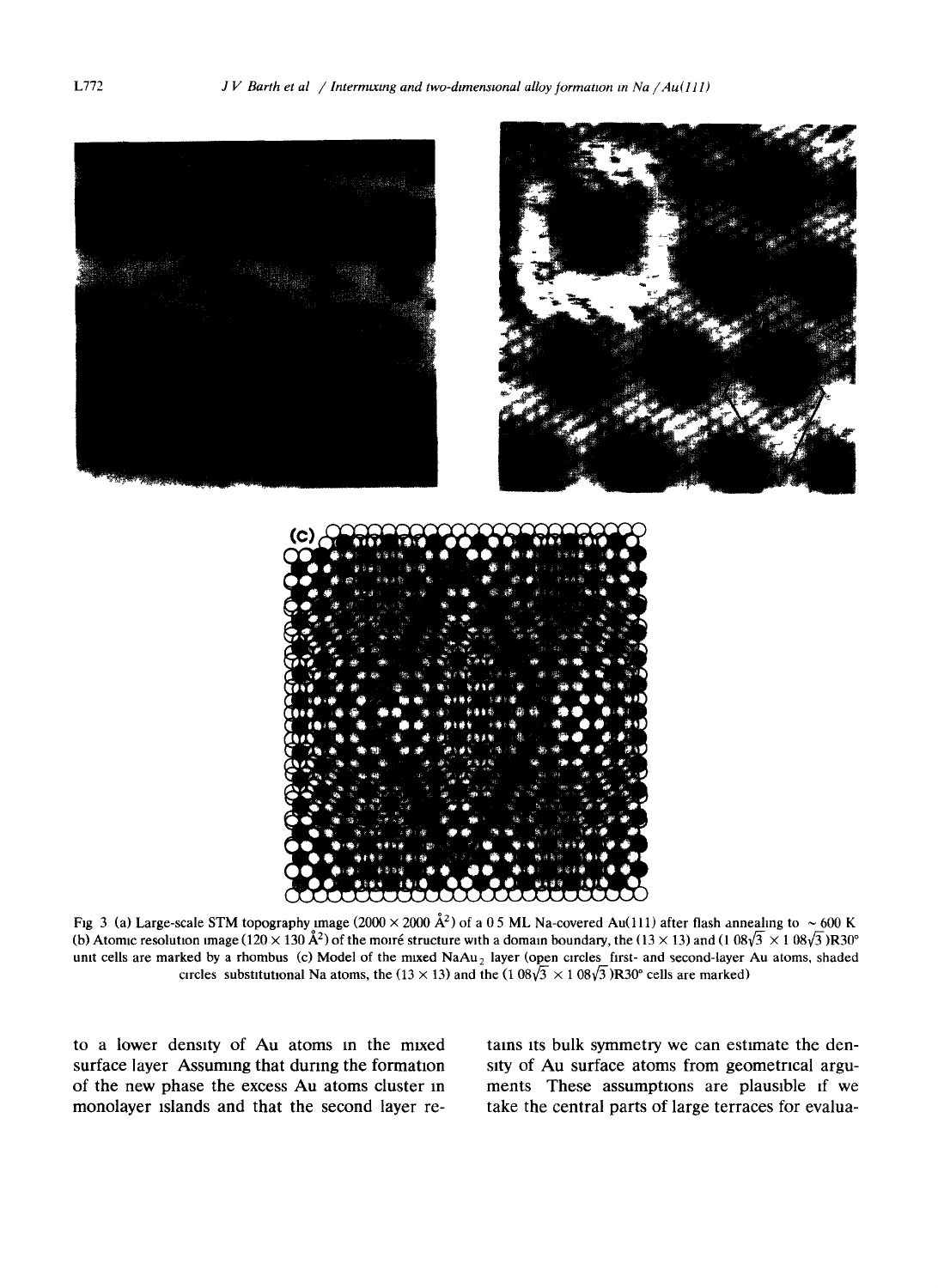

Fig 3 (a) Large-scale STM topography image (2000  $\times$  2000 Å<sup>2</sup>) of a 0.5 ML Na-covered Au(111) after flash annealing to  $\sim$  600 K (b) Atomic resolution image ( $120 \times 130 \text{ Å}^2$ ) of the moire structure with a domain boundary, the ( $13 \times 13$ ) and ( $1.08\sqrt{3} \times 1.08\sqrt{3}$ )R30° unit cells are marked by a rhombus (c) Model of the mixed NaAu, layer (open circles first- and second-layer Au atoms, shaded circles substitutional Na atoms, the (13 × 13) and the (1  $08\sqrt{3}$  × 1  $08\sqrt{3}$ )R30° cells are marked)

to a lower density of Au atoms in the mixed surface layer Assuming that during the formation of the new phase the excess Au atoms cluster in monolayer tslands and that the second layer retains its bulk symmetry we can estimate the denstty of Au surface atoms from geometrical arguments These assumptions are plausible if we take the central parts of large terraces for evalua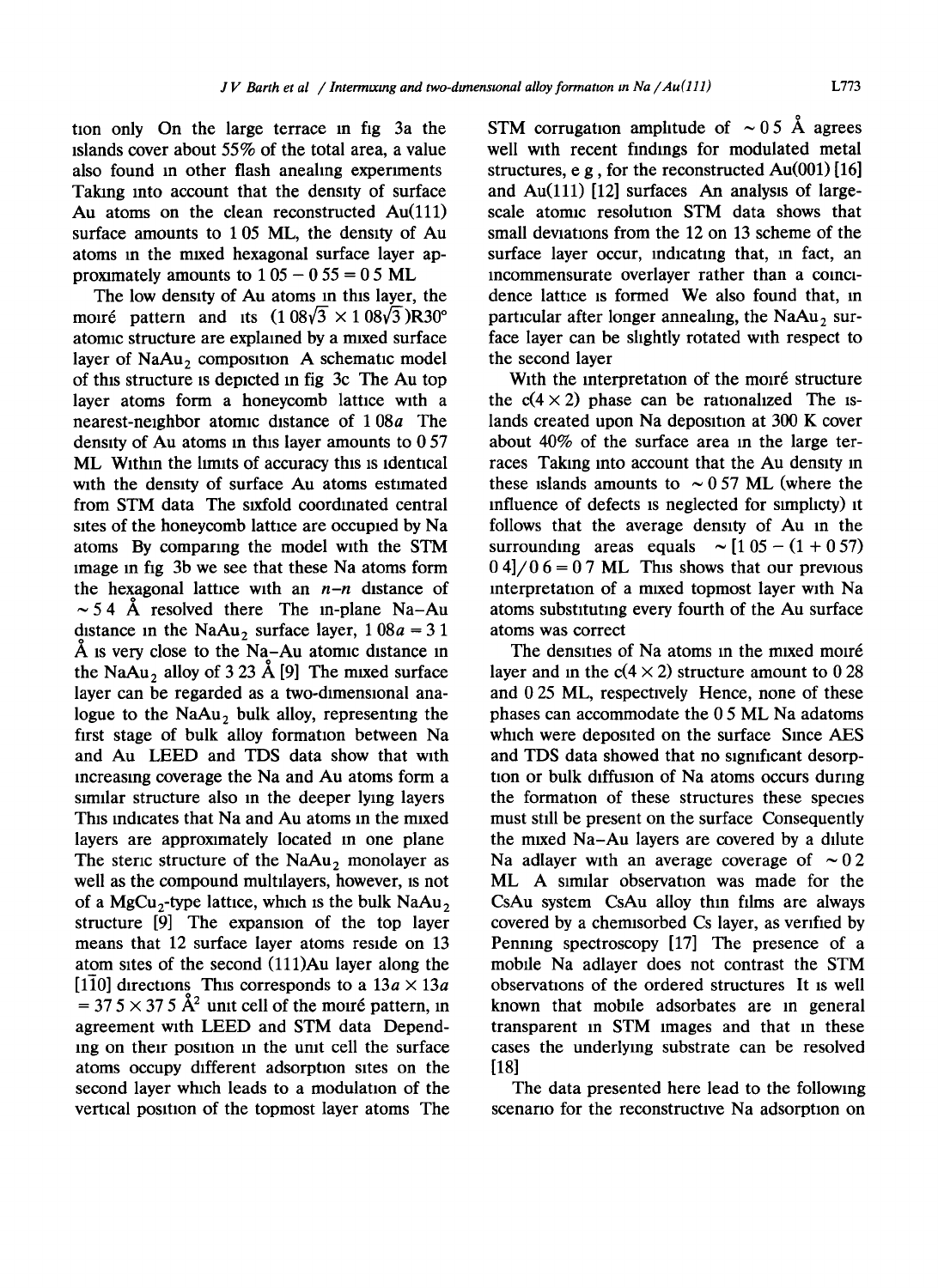tion only On the large terrace in fig 3a the islands cover about 55% of the total area, a value also found in other flash anealing experiments Taking into account that the density of surface Au atoms on the clean reconstructed Au(111) surface amounts to 1 05 ML, the density of Au atoms in the mixed hexagonal surface layer approximately amounts to  $105 - 0.55 = 0.5$  ML

The low density of Au atoms in this layer, the moiré pattern and its  $(1.08\sqrt{3} \times 1.08\sqrt{3})R30^{\circ}$ atomic structure are explained by a mixed surface layer of NaAu<sub>2</sub> composition A schematic model of this structure is depicted in fig 3c. The Au top layer atoms form a honeycomb lattice with a nearest-neighbor atomic distance of 1 08a The density of Au atoms in this layer amounts to 0 57 ML Within the limits of accuracy this is identical with the density of surface Au atoms estimated from STM data The sixfold coordinated central sites of the honeycomb lattice are occupied by Na atoms By comparing the model with the STM image in fig 3b we see that these Na atoms form the hexagonal lattice with an *n-n* distance of  $\sim$  5.4 Å resolved there The in-plane Na-Au distance in the NaAu, surface layer,  $1\,08a = 3\,1$  $\AA$  is very close to the Na-Au atomic distance in the NaAu, alloy of 3 23 Å [9] The mixed surface layer can be regarded as a two-dimensional analogue to the  $NaAu<sub>2</sub>$  bulk alloy, representing the first stage of bulk alloy formation between Na and Au LEED and TDS data show that with increasing coverage the Na and Au atoms form a similar structure also in the deeper lying layers This indicates that Na and Au atoms in the mixed layers are approximately located in one plane The steric structure of the  $Naau_2$  monolayer as well as the compound multllayers, however, is not of a MgCu<sub>2</sub>-type lattice, which is the bulk NaAu, structure [9] The expansion of the top layer means that 12 surface layer atoms reside on 13 atom sites of the second (111)Au layer along the [1 $\overline{1}0$ ] directions This corresponds to a  $13a \times 13a$  $= 37.5 \times 37.5 \text{ Å}^2$  unit cell of the moiré pattern, in agreement with LEED and STM data Depending on their position in the unit cell the surface atoms occupy different adsorption sites on the second layer which leads to a modulation of the vertical position of the topmost layer atoms The STM corrugation amplitude of  $\sim 0.5$  Å agrees well with recent findings for modulated metal structures, e g, for the reconstructed Au(001) [16] and Au(111) [12] surfaces An analysis of largescale atomic resolution STM data shows that small deviations from the 12 on 13 scheme of the surface layer occur, indicating that, in fact, an incommensurate overlayer rather than a comcldence lattice is formed We also found that, in particular after longer annealing, the  $NaAu<sub>2</sub>$  surface layer can be shghtly rotated with respect to the second layer

With the interpretation of the moiré structure the  $c(4 \times 2)$  phase can be rationalized The islands created upon Na deposition at 300 K cover about 40% of the surface area in the large terraces Taking into account that the Au density in these islands amounts to  $\sim 0.57$  ML (where the influence of defects is neglected for simplicty) it follows that the average density of Au in the surrounding areas equals  $\sim [105 - (1 + 0.57)]$  $0.4$ / $0.6$  = 0.7 ML This shows that our previous interpretation of a mixed topmost layer with Na atoms substituting every fourth of the Au surface atoms was correct

The densities of Na atoms in the mixed moiré layer and in the  $c(4 \times 2)$  structure amount to 0.28 and 0 25 ML, respectively Hence, none of these phases can accommodate the 0 5 ML Na adatoms which were deposited on the surface Since AES and TDS data showed that no significant desorption or bulk diffusion of Na atoms occurs during the formation of these structures these species must still be present on the surface Consequently the mixed Na-Au layers are covered by a dilute Na adlayer with an average coverage of  $\sim 0.2$ ML A similar observation was made for the CsAu system CsAu alloy thin films are always covered by a chemlsorbed Cs layer, as verified by Penning spectroscopy [17] The presence of a mobile Na adlayer does not contrast the STM observations of the ordered structures It is well known that mobile adsorbates are in general transparent in STM images and that in these cases the underlying substrate can be resolved [18]

The data presented here lead to the following scenario for the reconstructive Na adsorption on